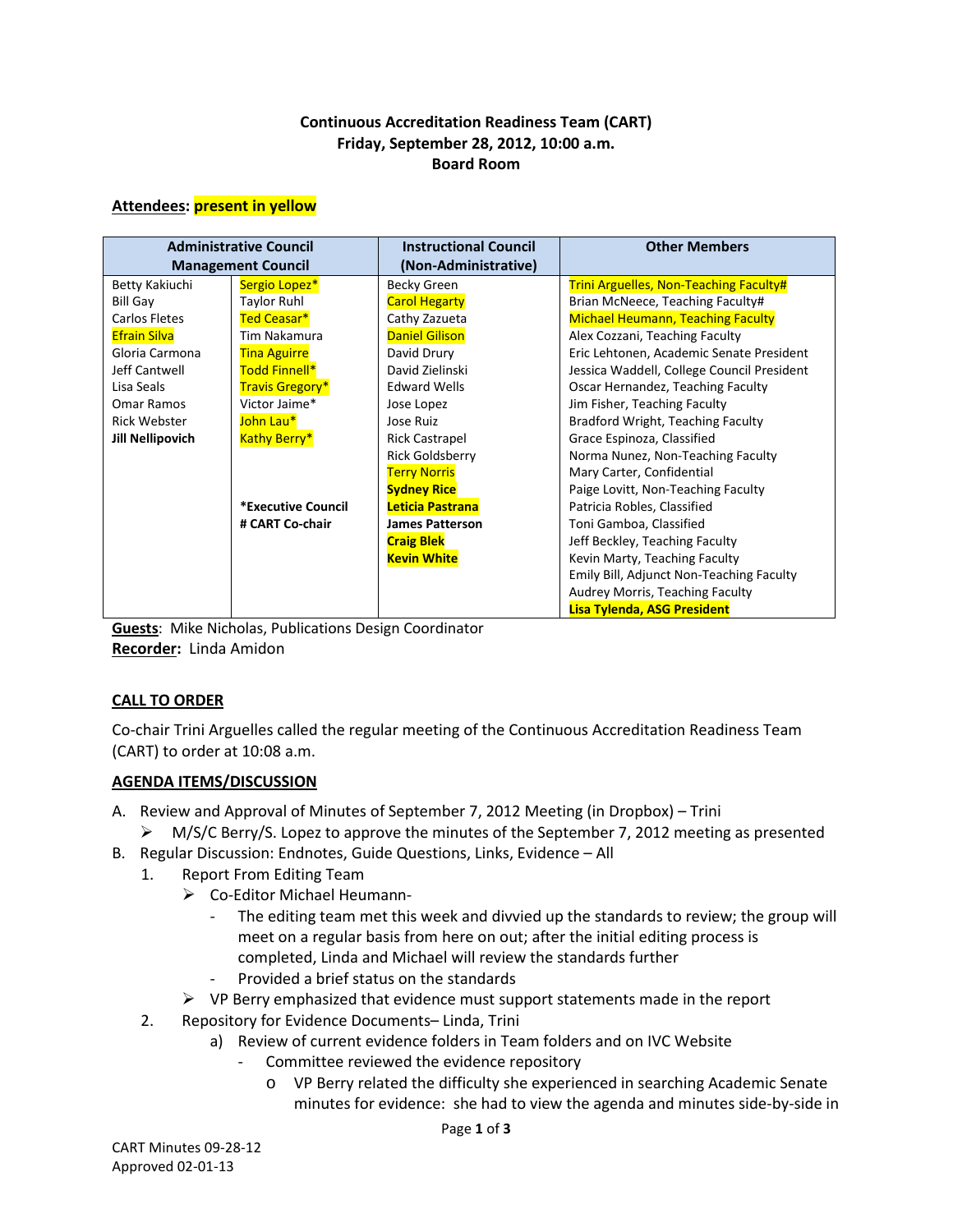## **Continuous Accreditation Readiness Team (CART) Friday, September 28, 2012, 10:00 a.m. Board Room**

#### **Attendees: present in yellow**

| <b>Administrative Council</b><br><b>Management Council</b> |                        | <b>Instructional Council</b><br>(Non-Administrative) | <b>Other Members</b>                          |
|------------------------------------------------------------|------------------------|------------------------------------------------------|-----------------------------------------------|
| Betty Kakiuchi                                             | Sergio Lopez*          | Becky Green                                          | <b>Trini Arguelles, Non-Teaching Faculty#</b> |
| <b>Bill Gay</b>                                            | <b>Taylor Ruhl</b>     | <b>Carol Hegarty</b>                                 | Brian McNeece, Teaching Faculty#              |
| Carlos Fletes                                              | Ted Ceasar*            | Cathy Zazueta                                        | <b>Michael Heumann, Teaching Faculty</b>      |
| <b>Efrain Silva</b>                                        | Tim Nakamura           | <b>Daniel Gilison</b>                                | Alex Cozzani, Teaching Faculty                |
| Gloria Carmona                                             | <b>Tina Aguirre</b>    | David Drury                                          | Eric Lehtonen, Academic Senate President      |
| Jeff Cantwell                                              | Todd Finnell*          | David Zielinski                                      | Jessica Waddell, College Council President    |
| Lisa Seals                                                 | <b>Travis Gregory*</b> | <b>Edward Wells</b>                                  | Oscar Hernandez, Teaching Faculty             |
| Omar Ramos                                                 | Victor Jaime*          | Jose Lopez                                           | Jim Fisher, Teaching Faculty                  |
| <b>Rick Webster</b>                                        | John Lau*              | Jose Ruiz                                            | Bradford Wright, Teaching Faculty             |
| <b>Jill Nellipovich</b>                                    | <b>Kathy Berry*</b>    | <b>Rick Castrapel</b>                                | Grace Espinoza, Classified                    |
|                                                            |                        | <b>Rick Goldsberry</b>                               | Norma Nunez, Non-Teaching Faculty             |
|                                                            |                        | <b>Terry Norris</b>                                  | Mary Carter, Confidential                     |
|                                                            |                        | <b>Sydney Rice</b>                                   | Paige Lovitt, Non-Teaching Faculty            |
|                                                            | *Executive Council     | Leticia Pastrana                                     | Patricia Robles, Classified                   |
|                                                            | # CART Co-chair        | <b>James Patterson</b>                               | Toni Gamboa, Classified                       |
|                                                            |                        | <b>Craig Blek</b>                                    | Jeff Beckley, Teaching Faculty                |
|                                                            |                        | <b>Kevin White</b>                                   | Kevin Marty, Teaching Faculty                 |
|                                                            |                        |                                                      | Emily Bill, Adjunct Non-Teaching Faculty      |
|                                                            |                        |                                                      | Audrey Morris, Teaching Faculty               |
|                                                            |                        |                                                      | <b>Lisa Tylenda, ASG President</b>            |

**Guests**: Mike Nicholas, Publications Design Coordinator **Recorder:** Linda Amidon

## **CALL TO ORDER**

Co-chair Trini Arguelles called the regular meeting of the Continuous Accreditation Readiness Team (CART) to order at 10:08 a.m.

## **AGENDA ITEMS/DISCUSSION**

- A. Review and Approval of Minutes of September 7, 2012 Meeting (in Dropbox) Trini
	- $\triangleright$  M/S/C Berry/S. Lopez to approve the minutes of the September 7, 2012 meeting as presented
- B. Regular Discussion: Endnotes, Guide Questions, Links, Evidence All
	- 1. Report From Editing Team
		- Co-Editor Michael Heumann-
			- The editing team met this week and divvied up the standards to review; the group will meet on a regular basis from here on out; after the initial editing process is completed, Linda and Michael will review the standards further
			- Provided a brief status on the standards
		- $\triangleright$  VP Berry emphasized that evidence must support statements made in the report
	- 2. Repository for Evidence Documents– Linda, Trini
		- a) Review of current evidence folders in Team folders and on IVC Website
			- Committee reviewed the evidence repository
				- o VP Berry related the difficulty she experienced in searching Academic Senate minutes for evidence: she had to view the agenda and minutes side-by-side in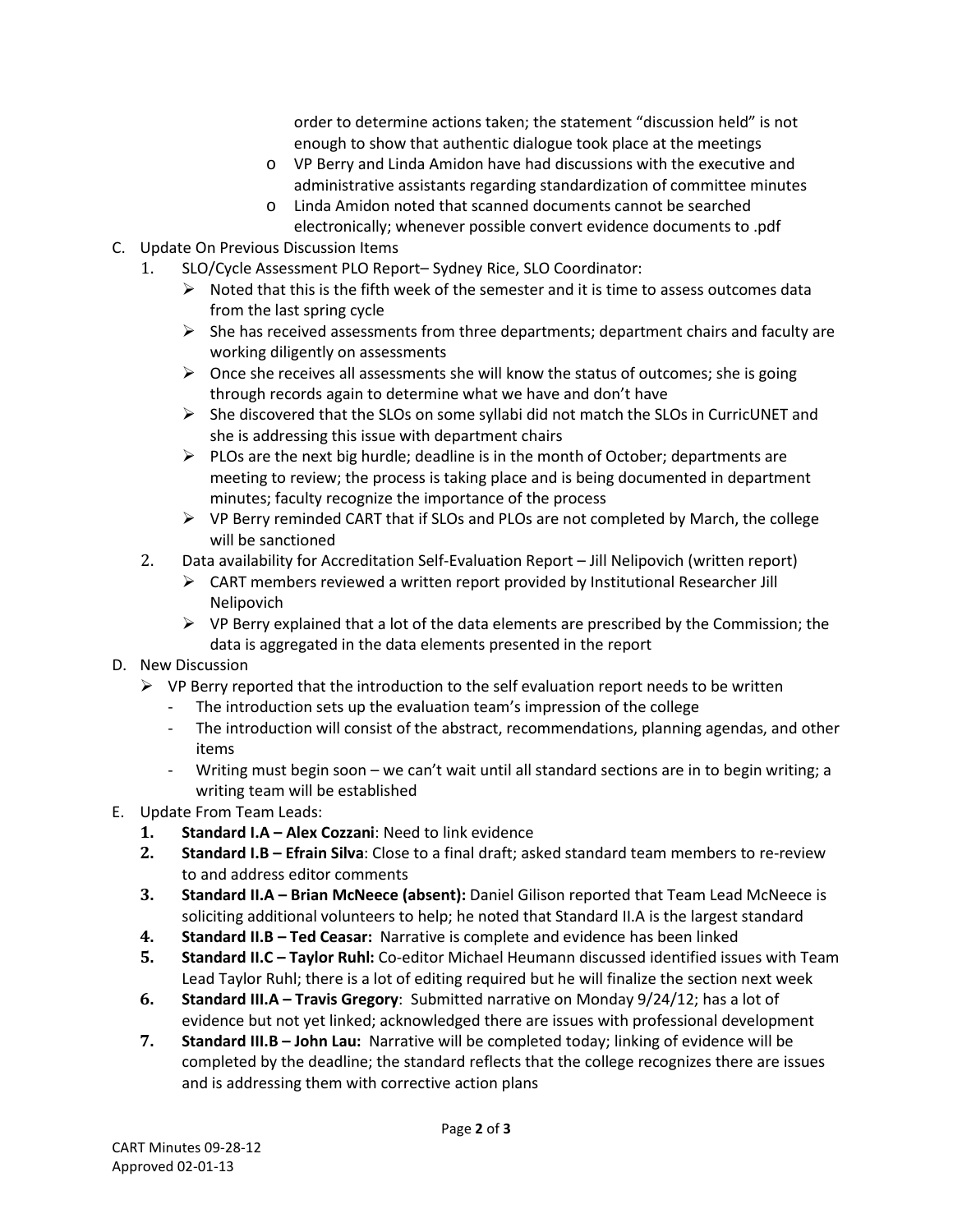order to determine actions taken; the statement "discussion held" is not enough to show that authentic dialogue took place at the meetings

- o VP Berry and Linda Amidon have had discussions with the executive and administrative assistants regarding standardization of committee minutes
- o Linda Amidon noted that scanned documents cannot be searched electronically; whenever possible convert evidence documents to .pdf
- C. Update On Previous Discussion Items
	- 1. SLO/Cycle Assessment PLO Report– Sydney Rice, SLO Coordinator:
		- $\triangleright$  Noted that this is the fifth week of the semester and it is time to assess outcomes data from the last spring cycle
		- $\triangleright$  She has received assessments from three departments; department chairs and faculty are working diligently on assessments
		- $\triangleright$  Once she receives all assessments she will know the status of outcomes; she is going through records again to determine what we have and don't have
		- $\triangleright$  She discovered that the SLOs on some syllabi did not match the SLOs in CurricUNET and she is addressing this issue with department chairs
		- $\triangleright$  PLOs are the next big hurdle; deadline is in the month of October; departments are meeting to review; the process is taking place and is being documented in department minutes; faculty recognize the importance of the process
		- $\triangleright$  VP Berry reminded CART that if SLOs and PLOs are not completed by March, the college will be sanctioned
	- 2. Data availability for Accreditation Self-Evaluation Report Jill Nelipovich (written report)
		- $\triangleright$  CART members reviewed a written report provided by Institutional Researcher Jill Nelipovich
		- $\triangleright$  VP Berry explained that a lot of the data elements are prescribed by the Commission; the data is aggregated in the data elements presented in the report
- D. New Discussion
	- $\triangleright$  VP Berry reported that the introduction to the self evaluation report needs to be written
		- The introduction sets up the evaluation team's impression of the college
		- The introduction will consist of the abstract, recommendations, planning agendas, and other items
		- Writing must begin soon we can't wait until all standard sections are in to begin writing; a writing team will be established
- E. Update From Team Leads:
	- **1. Standard I.A – Alex Cozzani**: Need to link evidence
	- **2. Standard I.B – Efrain Silva**: Close to a final draft; asked standard team members to re-review to and address editor comments
	- **3. Standard II.A – Brian McNeece (absent):** Daniel Gilison reported that Team Lead McNeece is soliciting additional volunteers to help; he noted that Standard II.A is the largest standard
	- **4. Standard II.B – Ted Ceasar:** Narrative is complete and evidence has been linked
	- **5. Standard II.C – Taylor Ruhl:** Co-editor Michael Heumann discussed identified issues with Team Lead Taylor Ruhl; there is a lot of editing required but he will finalize the section next week
	- **6. Standard III.A – Travis Gregory**: Submitted narrative on Monday 9/24/12; has a lot of evidence but not yet linked; acknowledged there are issues with professional development
	- **7. Standard III.B – John Lau:** Narrative will be completed today; linking of evidence will be completed by the deadline; the standard reflects that the college recognizes there are issues and is addressing them with corrective action plans